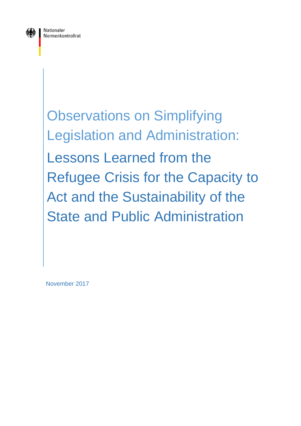

Observations on Simplifying Legislation and Administration: Lessons Learned from the Refugee Crisis for the Capacity to Act and the Sustainability of the State and Public Administration

November 2017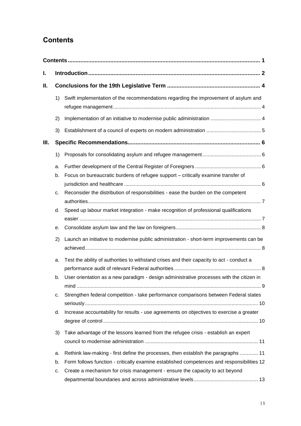# <span id="page-1-0"></span>**Contents**

| I. |    |                                                                                            |  |  |  |
|----|----|--------------------------------------------------------------------------------------------|--|--|--|
| Ⅱ. |    |                                                                                            |  |  |  |
|    | 1) | Swift implementation of the recommendations regarding the improvement of asylum and        |  |  |  |
|    | 2) |                                                                                            |  |  |  |
|    | 3) |                                                                                            |  |  |  |
| Ш. |    |                                                                                            |  |  |  |
|    | 1) |                                                                                            |  |  |  |
|    | a. |                                                                                            |  |  |  |
|    | b. | Focus on bureaucratic burdens of refugee support - critically examine transfer of          |  |  |  |
|    |    |                                                                                            |  |  |  |
|    | c. | Reconsider the distribution of responsibilities - ease the burden on the competent         |  |  |  |
|    |    |                                                                                            |  |  |  |
|    | d. | Speed up labour market integration - make recognition of professional qualifications       |  |  |  |
|    | е. |                                                                                            |  |  |  |
|    | 2) | Launch an initiative to modernise public administration - short-term improvements can be   |  |  |  |
|    | a. | Test the ability of authorities to withstand crises and their capacity to act - conduct a  |  |  |  |
|    |    |                                                                                            |  |  |  |
|    | b. | User orientation as a new paradigm - design administrative processes with the citizen in   |  |  |  |
|    | c. | Strengthen federal competition - take performance comparisons between Federal states       |  |  |  |
|    | d. | Increase accountability for results - use agreements on objectives to exercise a greater   |  |  |  |
|    | 3) | Take advantage of the lessons learned from the refugee crisis - establish an expert        |  |  |  |
|    | a. | Rethink law-making - first define the processes, then establish the paragraphs  11         |  |  |  |
|    | b. | Form follows function - critically examine established competences and responsibilities 12 |  |  |  |
|    | c. | Create a mechanism for crisis management - ensure the capacity to act beyond               |  |  |  |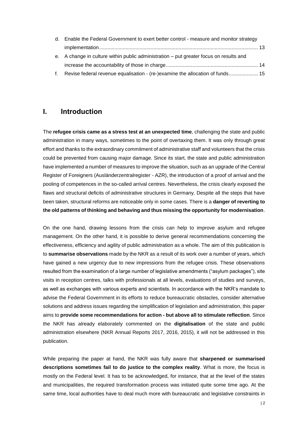| d. Enable the Federal Government to exert better control - measure and monitor strategy |  |
|-----------------------------------------------------------------------------------------|--|
|                                                                                         |  |
| e. A change in culture within public administration – put greater focus on results and  |  |
|                                                                                         |  |
| f. Revise federal revenue equalisation - (re-)examine the allocation of funds 15        |  |

### <span id="page-2-0"></span>**I. Introduction**

The **refugee crisis came as a stress test at an unexpected time**, challenging the state and public administration in many ways, sometimes to the point of overtaxing them. It was only through great effort and thanks to the extraordinary commitment of administrative staff and volunteers that the crisis could be prevented from causing major damage. Since its start, the state and public administration have implemented a number of measures to improve the situation, such as an upgrade of the Central Register of Foreigners (Ausländerzentralregister - AZR), the introduction of a proof of arrival and the pooling of competences in the so-called arrival centres. Nevertheless, the crisis clearly exposed the flaws and structural deficits of administrative structures in Germany. Despite all the steps that have been taken, structural reforms are noticeable only in some cases. There is a **danger of reverting to the old patterns of thinking and behaving and thus missing the opportunity for modernisation**.

On the one hand, drawing lessons from the crisis can help to improve asylum and refugee management. On the other hand, it is possible to derive general recommendations concerning the effectiveness, efficiency and agility of public administration as a whole. The aim of this publication is to **summarise observations** made by the NKR as a result of its work over a number of years, which have gained a new urgency due to new impressions from the refugee crisis. These observations resulted from the examination of a large number of legislative amendments ("asylum packages"), site visits in reception centres, talks with professionals at all levels, evaluations of studies and surveys, as well as exchanges with various experts and scientists. In accordance with the NKR's mandate to advise the Federal Government in its efforts to reduce bureaucratic obstacles, consider alternative solutions and address issues regarding the simplification of legislation and administration, this paper aims to **provide some recommendations for action - but above all to stimulate reflection**. Since the NKR has already elaborately commented on the **digitalisation** of the state and public administration elsewhere (NKR Annual Reports 2017, 2016, 2015), it will not be addressed in this publication.

While preparing the paper at hand, the NKR was fully aware that **sharpened or summarised descriptions sometimes fail to do justice to the complex reality**. What is more, the focus is mostly on the Federal level. It has to be acknowledged, for instance, that at the level of the states and municipalities, the required transformation process was initiated quite some time ago. At the same time, local authorities have to deal much more with bureaucratic and legislative constraints in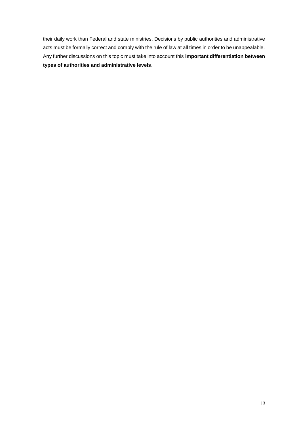their daily work than Federal and state ministries. Decisions by public authorities and administrative acts must be formally correct and comply with the rule of law at all times in order to be unappealable. Any further discussions on this topic must take into account this **important differentiation between types of authorities and administrative levels**.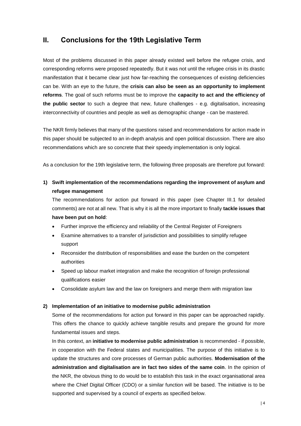## <span id="page-4-0"></span>**II. Conclusions for the 19th Legislative Term**

Most of the problems discussed in this paper already existed well before the refugee crisis, and corresponding reforms were proposed repeatedly. But it was not until the refugee crisis in its drastic manifestation that it became clear just how far-reaching the consequences of existing deficiencies can be. With an eye to the future, the **crisis can also be seen as an opportunity to implement reforms**. The goal of such reforms must be to improve the **capacity to act and the efficiency of the public sector** to such a degree that new, future challenges - e.g. digitalisation, increasing interconnectivity of countries and people as well as demographic change - can be mastered.

The NKR firmly believes that many of the questions raised and recommendations for action made in this paper should be subjected to an in-depth analysis and open political discussion. There are also recommendations which are so concrete that their speedy implementation is only logical.

As a conclusion for the 19th legislative term, the following three proposals are therefore put forward:

<span id="page-4-1"></span>**1) Swift implementation of the recommendations regarding the improvement of asylum and refugee management** 

The recommendations for action put forward in this paper (see Chapter III.1 for detailed comments) are not at all new. That is why it is all the more important to finally **tackle issues that have been put on hold**:

- Further improve the efficiency and reliability of the Central Register of Foreigners
- Examine alternatives to a transfer of jurisdiction and possibilities to simplify refugee support
- Reconsider the distribution of responsibilities and ease the burden on the competent authorities
- Speed up labour market integration and make the recognition of foreign professional qualifications easier
- Consolidate asylum law and the law on foreigners and merge them with migration law

#### <span id="page-4-2"></span>**2) Implementation of an initiative to modernise public administration**

Some of the recommendations for action put forward in this paper can be approached rapidly. This offers the chance to quickly achieve tangible results and prepare the ground for more fundamental issues and steps.

In this context, an **initiative to modernise public administration** is recommended - if possible, in cooperation with the Federal states and municipalities. The purpose of this initiative is to update the structures and core processes of German public authorities. **Modernisation of the administration and digitalisation are in fact two sides of the same coin**. In the opinion of the NKR, the obvious thing to do would be to establish this task in the exact organisational area where the Chief Digital Officer (CDO) or a similar function will be based. The initiative is to be supported and supervised by a council of experts as specified below.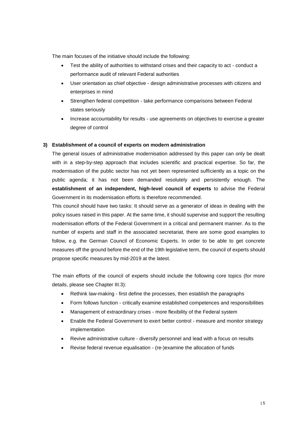The main focuses of the initiative should include the following:

- Test the ability of authorities to withstand crises and their capacity to act conduct a performance audit of relevant Federal authorities
- User orientation as chief objective design administrative processes with citizens and enterprises in mind
- Strengthen federal competition take performance comparisons between Federal states seriously
- Increase accountability for results use agreements on objectives to exercise a greater degree of control

#### <span id="page-5-0"></span>**3) Establishment of a council of experts on modern administration**

The general issues of administrative modernisation addressed by this paper can only be dealt with in a step-by-step approach that includes scientific and practical expertise. So far, the modernisation of the public sector has not yet been represented sufficiently as a topic on the public agenda; it has not been demanded resolutely and persistently enough. The **establishment of an independent, high-level council of experts** to advise the Federal Government in its modernisation efforts is therefore recommended.

This council should have two tasks: It should serve as a generator of ideas in dealing with the policy issues raised in this paper. At the same time, it should supervise and support the resulting modernisation efforts of the Federal Government in a critical and permanent manner. As to the number of experts and staff in the associated secretariat, there are some good examples to follow, e.g. the German Council of Economic Experts. In order to be able to get concrete measures off the ground before the end of the 19th legislative term, the council of experts should propose specific measures by mid-2019 at the latest.

The main efforts of the council of experts should include the following core topics (for more details, please see Chapter III.3):

- Rethink law-making first define the processes, then establish the paragraphs
- Form follows function critically examine established competences and responsibilities
- Management of extraordinary crises more flexibility of the Federal system
- Enable the Federal Government to exert better control measure and monitor strategy implementation
- Revive administrative culture diversify personnel and lead with a focus on results
- Revise federal revenue equalisation (re-)examine the allocation of funds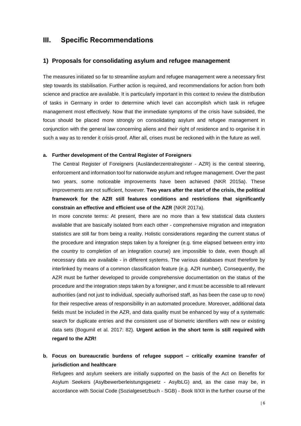### <span id="page-6-0"></span>**III. Specific Recommendations**

#### <span id="page-6-1"></span>**1) Proposals for consolidating asylum and refugee management**

The measures initiated so far to streamline asylum and refugee management were a necessary first step towards its stabilisation. Further action is required, and recommendations for action from both science and practice are available. It is particularly important in this context to review the distribution of tasks in Germany in order to determine which level can accomplish which task in refugee management most effectively. Now that the immediate symptoms of the crisis have subsided, the focus should be placed more strongly on consolidating asylum and refugee management in conjunction with the general law concerning aliens and their right of residence and to organise it in such a way as to render it crisis-proof. After all, crises must be reckoned with in the future as well.

#### <span id="page-6-2"></span>**a. Further development of the Central Register of Foreigners**

The Central Register of Foreigners (Ausländerzentralregister - AZR) is the central steering, enforcement and information tool for nationwide asylum and refugee management. Over the past two years, some noticeable improvements have been achieved (NKR 2015a). These improvements are not sufficient, however. **Two years after the start of the crisis, the political framework for the AZR still features conditions and restrictions that significantly constrain an effective and efficient use of the AZR** (NKR 2017a).

In more concrete terms: At present, there are no more than a few statistical data clusters available that are basically isolated from each other - comprehensive migration and integration statistics are still far from being a reality. Holistic considerations regarding the current status of the procedure and integration steps taken by a foreigner (e.g. time elapsed between entry into the country to completion of an integration course) are impossible to date, even though all necessary data are available - in different systems. The various databases must therefore by interlinked by means of a common classification feature (e.g. AZR number). Consequently, the AZR must be further developed to provide comprehensive documentation on the status of the procedure and the integration steps taken by a foreigner, and it must be accessible to all relevant authorities (and not just to individual, specially authorised staff, as has been the case up to now) for their respective areas of responsibility in an automated procedure. Moreover, additional data fields must be included in the AZR, and data quality must be enhanced by way of a systematic search for duplicate entries and the consistent use of biometric identifiers with new or existing data sets (Bogumil et al. 2017: 82). **Urgent action in the short term is still required with regard to the AZR!**

<span id="page-6-3"></span>**b. Focus on bureaucratic burdens of refugee support – critically examine transfer of jurisdiction and healthcare**

Refugees and asylum seekers are initially supported on the basis of the Act on Benefits for Asylum Seekers (Asylbewerberleistungsgesetz - AsylbLG) and, as the case may be, in accordance with Social Code (Sozialgesetzbuch - SGB) - Book II/XII in the further course of the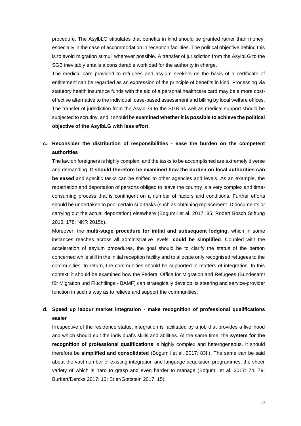procedure. The AsylbLG stipulates that benefits in kind should be granted rather than money, especially in the case of accommodation in reception facilities. The political objective behind this is to avoid migration stimuli wherever possible. A transfer of jurisdiction from the AsylbLG to the SGB inevitably entails a considerable workload for the authority in charge.

The medical care provided to refugees and asylum seekers on the basis of a certificate of entitlement can be regarded as an expression of the principle of benefits in kind. Processing via statutory health insurance funds with the aid of a personal healthcare card may be a more costeffective alternative to the individual, case-based assessment and billing by local welfare offices. The transfer of jurisdiction from the AsylbLG to the SGB as well as medical support should be subjected to scrutiny, and it should be **examined whether it is possible to achieve the political objective of the AsylbLG with less effort**.

### <span id="page-7-0"></span>**c. Reconsider the distribution of responsibilities - ease the burden on the competent authorities**

The law on foreigners is highly complex, and the tasks to be accomplished are extremely diverse and demanding. **It should therefore be examined how the burden on local authorities can be eased** and specific tasks can be shifted to other agencies and levels. As an example, the repatriation and deportation of persons obliged to leave the country is a very complex and timeconsuming process that is contingent on a number of factors and conditions. Further efforts should be undertaken to pool certain sub-tasks (such as obtaining replacement ID documents or carrying out the actual deportation) elsewhere (Bogumil et al. 2017: 85; Robert Bosch Stiftung 2016: 178; NKR 2015b).

Moreover, the **multi-stage procedure for initial and subsequent lodging**, which in some instances reaches across all administrative levels, **could be simplified**. Coupled with the acceleration of asylum procedures, the goal should be to clarify the status of the person concerned while still in the initial reception facility and to allocate only recognised refugees to the communities. In return, the communities should be supported in matters of integration. In this context, it should be examined how the Federal Office for Migration and Refugees (Bundesamt für Migration und Flüchtlinge - BAMF) can strategically develop its steering and service-provider function in such a way as to relieve and support the communities.

### <span id="page-7-1"></span>**d. Speed up labour market integration - make recognition of professional qualifications easier**

Irrespective of the residence status, integration is facilitated by a job that provides a livelihood and which should suit the individual's skills and abilities. At the same time, the **system for the recognition of professional qualifications** is highly complex and heterogeneous. It should therefore be **simplified and consolidated** (Bogumil et al. 2017: 83f.). The same can be said about the vast number of existing integration and language acquisition programmes, the sheer variety of which is hard to grasp and even harder to manage (Bogumil et al. 2017: 74, 79; Burkert/Dercks 2017: 12; Erler/Gottstein 2017: 15).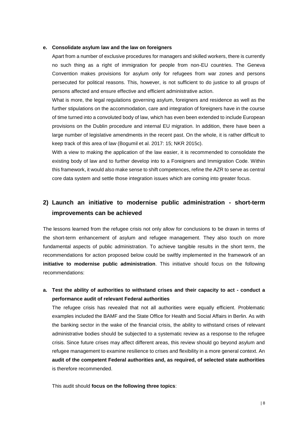#### <span id="page-8-0"></span>**e. Consolidate asylum law and the law on foreigners**

Apart from a number of exclusive procedures for managers and skilled workers, there is currently no such thing as a right of immigration for people from non-EU countries. The Geneva Convention makes provisions for asylum only for refugees from war zones and persons persecuted for political reasons. This, however, is not sufficient to do justice to all groups of persons affected and ensure effective and efficient administrative action.

What is more, the legal regulations governing asylum, foreigners and residence as well as the further stipulations on the accommodation, care and integration of foreigners have in the course of time turned into a convoluted body of law, which has even been extended to include European provisions on the Dublin procedure and internal EU migration. In addition, there have been a large number of legislative amendments in the recent past. On the whole, it is rather difficult to keep track of this area of law (Bogumil et al. 2017: 15; NKR 2015c).

With a view to making the application of the law easier, it is recommended to consolidate the existing body of law and to further develop into to a Foreigners and Immigration Code. Within this framework, it would also make sense to shift competences, refine the AZR to serve as central core data system and settle those integration issues which are coming into greater focus.

## <span id="page-8-1"></span>**2) Launch an initiative to modernise public administration - short-term improvements can be achieved**

The lessons learned from the refugee crisis not only allow for conclusions to be drawn in terms of the short-term enhancement of asylum and refugee management. They also touch on more fundamental aspects of public administration. To achieve tangible results in the short term, the recommendations for action proposed below could be swiftly implemented in the framework of an **initiative to modernise public administration**. This initiative should focus on the following recommendations:

<span id="page-8-2"></span>**a. Test the ability of authorities to withstand crises and their capacity to act - conduct a performance audit of relevant Federal authorities** 

The refugee crisis has revealed that not all authorities were equally efficient. Problematic examples included the BAMF and the State Office for Health and Social Affairs in Berlin. As with the banking sector in the wake of the financial crisis, the ability to withstand crises of relevant administrative bodies should be subjected to a systematic review as a response to the refugee crisis. Since future crises may affect different areas, this review should go beyond asylum and refugee management to examine resilience to crises and flexibility in a more general context. An **audit of the competent Federal authorities and, as required, of selected state authorities** is therefore recommended.

This audit should **focus on the following three topics**: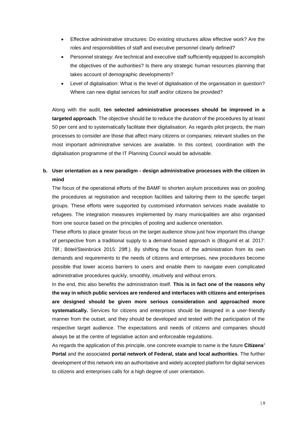- Effective administrative structures: Do existing structures allow effective work? Are the roles and responsibilities of staff and executive personnel clearly defined?
- Personnel strategy: Are technical and executive staff sufficiently equipped to accomplish the objectives of the authorities? Is there any strategic human resources planning that takes account of demographic developments?
- Level of digitalisation: What is the level of digitalisation of the organisation in question? Where can new digital services for staff and/or citizens be provided?

Along with the audit, **ten selected administrative processes should be improved in a targeted approach**. The objective should be to reduce the duration of the procedures by at least 50 per cent and to systematically facilitate their digitalisation. As regards pilot projects, the main processes to consider are those that affect many citizens or companies; relevant studies on the most important administrative services are available. In this context, coordination with the digitalisation programme of the IT Planning Council would be advisable.

### <span id="page-9-0"></span>**b. User orientation as a new paradigm - design administrative processes with the citizen in mind**

The focus of the operational efforts of the BAMF to shorten asylum procedures was on pooling the procedures at registration and reception facilities and tailoring them to the specific target groups. These efforts were supported by customised information services made available to refugees. The integration measures implemented by many municipalities are also organised from one source based on the principles of pooling and audience orientation.

These efforts to place greater focus on the target audience show just how important this change of perspective from a traditional supply to a demand-based approach is (Bogumil et al. 2017: 78f.; Bötel/Steinbrück 2015: 29ff.). By shifting the focus of the administration from its own demands and requirements to the needs of citizens and enterprises, new procedures become possible that lower access barriers to users and enable them to navigate even complicated administrative procedures quickly, smoothly, intuitively and without errors.

In the end, this also benefits the administration itself. **This is in fact one of the reasons why the way in which public services are rendered and interfaces with citizens and enterprises are designed should be given more serious consideration and approached more systematically.** Services for citizens and enterprises should be designed in a user-friendly manner from the outset, and they should be developed and tested with the participation of the respective target audience. The expectations and needs of citizens and companies should always be at the centre of legislative action and enforceable regulations.

As regards the application of this principle, one concrete example to name is the future **Citizens' Portal** and the associated **portal network of Federal, state and local authorities**. The further development of this network into an authoritative and widely accepted platform for digital services to citizens and enterprises calls for a high degree of user orientation.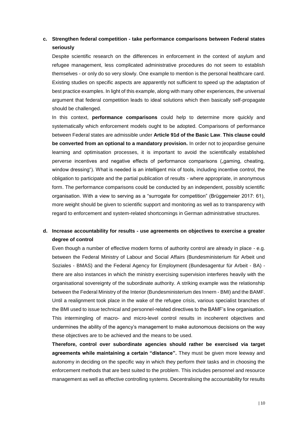### <span id="page-10-0"></span>**c. Strengthen federal competition - take performance comparisons between Federal states seriously**

Despite scientific research on the differences in enforcement in the context of asylum and refugee management, less complicated administrative procedures do not seem to establish themselves - or only do so very slowly. One example to mention is the personal healthcare card. Existing studies on specific aspects are apparently not sufficient to speed up the adaptation of best practice examples. In light of this example, along with many other experiences, the universal argument that federal competition leads to ideal solutions which then basically self-propagate should be challenged.

In this context, **performance comparisons** could help to determine more quickly and systematically which enforcement models ought to be adopted. Comparisons of performance between Federal states are admissible under **Article 91d of the Basic Law**. **This clause could be converted from an optional to a mandatory provision.** In order not to jeopardise genuine learning and optimisation processes, it is important to avoid the scientifically established perverse incentives and negative effects of performance comparisons ("gaming, cheating, window dressing"). What is needed is an intelligent mix of tools, including incentive control, the obligation to participate and the partial publication of results - where appropriate, in anonymous form. The performance comparisons could be conducted by an independent, possibly scientific organisation. With a view to serving as a "surrogate for competition" (Brüggemeier 2017: 61), more weight should be given to scientific support and monitoring as well as to transparency with regard to enforcement and system-related shortcomings in German administrative structures.

### <span id="page-10-1"></span>**d. Increase accountability for results - use agreements on objectives to exercise a greater degree of control**

Even though a number of effective modern forms of authority control are already in place - e.g. between the Federal Ministry of Labour and Social Affairs (Bundesministerium für Arbeit und Soziales - BMAS) and the Federal Agency for Employment (Bundesagentur für Arbeit - BA) there are also instances in which the ministry exercising supervision interferes heavily with the organisational sovereignty of the subordinate authority. A striking example was the relationship between the Federal Ministry of the Interior (Bundesministerium des Innern - BMI) and the BAMF. Until a realignment took place in the wake of the refugee crisis, various specialist branches of the BMI used to issue technical and personnel-related directives to the BAMF's line organisation. This intermingling of macro- and micro-level control results in incoherent objectives and undermines the ability of the agency's management to make autonomous decisions on the way these objectives are to be achieved and the means to be used.

**Therefore, control over subordinate agencies should rather be exercised via target agreements while maintaining a certain "distance".** They must be given more leeway and autonomy in deciding on the specific way in which they perform their tasks and in choosing the enforcement methods that are best suited to the problem. This includes personnel and resource management as well as effective controlling systems. Decentralising the accountability for results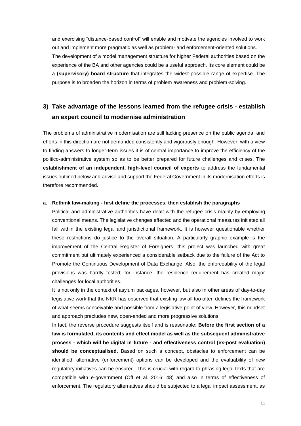and exercising "distance-based control" will enable and motivate the agencies involved to work out and implement more pragmatic as well as problem- and enforcement-oriented solutions. The development of a model management structure for higher Federal authorities based on the experience of the BA and other agencies could be a useful approach. Its core element could be a **(supervisory) board structure** that integrates the widest possible range of expertise. The purpose is to broaden the horizon in terms of problem awareness and problem-solving.

# <span id="page-11-0"></span>**3) Take advantage of the lessons learned from the refugee crisis - establish an expert council to modernise administration**

The problems of administrative modernisation are still lacking presence on the public agenda, and efforts in this direction are not demanded consistently and vigorously enough. However, with a view to finding answers to longer-term issues it is of central importance to improve the efficiency of the politico-administrative system so as to be better prepared for future challenges and crises. The **establishment of an independent, high-level council of experts** to address the fundamental issues outlined below and advise and support the Federal Government in its modernisation efforts is therefore recommended.

#### <span id="page-11-1"></span>**a. Rethink law-making - first define the processes, then establish the paragraphs**

Political and administrative authorities have dealt with the refugee crisis mainly by employing conventional means. The legislative changes effected and the operational measures initiated all fall within the existing legal and jurisdictional framework. It is however questionable whether these restrictions do justice to the overall situation. A particularly graphic example is the improvement of the Central Register of Foreigners: this project was launched with great commitment but ultimately experienced a considerable setback due to the failure of the Act to Promote the Continuous Development of Data Exchange. Also, the enforceability of the legal provisions was hardly tested; for instance, the residence requirement has created major challenges for local authorities.

It is not only in the context of asylum packages, however, but also in other areas of day-to-day legislative work that the NKR has observed that existing law all too often defines the framework of what seems conceivable and possible from a legislative point of view. However, this mindset and approach precludes new, open-ended and more progressive solutions.

In fact, the reverse procedure suggests itself and is reasonable: **Before the first section of a law is formulated, its contents and effect model as well as the subsequent administrative process - which will be digital in future - and effectiveness control (ex-post evaluation) should be conceptualised.** Based on such a concept, obstacles to enforcement can be identified, alternative (enforcement) options can be developed and the evaluability of new regulatory initiatives can be ensured. This is crucial with regard to phrasing legal texts that are compatible with e-government (Off et al. 2016: 48) and also in terms of effectiveness of enforcement. The regulatory alternatives should be subjected to a legal impact assessment, as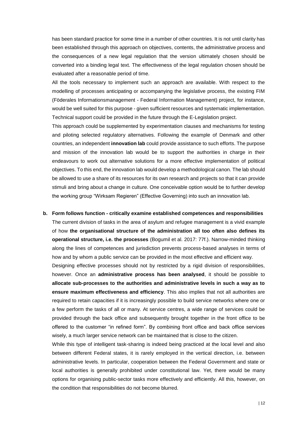has been standard practice for some time in a number of other countries. It is not until clarity has been established through this approach on objectives, contents, the administrative process and the consequences of a new legal regulation that the version ultimately chosen should be converted into a binding legal text. The effectiveness of the legal regulation chosen should be evaluated after a reasonable period of time.

All the tools necessary to implement such an approach are available. With respect to the modelling of processes anticipating or accompanying the legislative process, the existing FIM (Föderales Informationsmanagement - Federal Information Management) project, for instance, would be well suited for this purpose - given sufficient resources and systematic implementation. Technical support could be provided in the future through the E-Legislation project.

This approach could be supplemented by experimentation clauses and mechanisms for testing and piloting selected regulatory alternatives. Following the example of Denmark and other countries, an independent **innovation lab** could provide assistance to such efforts. The purpose and mission of the innovation lab would be to support the authorities in charge in their endeavours to work out alternative solutions for a more effective implementation of political objectives. To this end, the innovation lab would develop a methodological canon. The lab should be allowed to use a share of its resources for its own research and projects so that it can provide stimuli and bring about a change in culture. One conceivable option would be to further develop the working group "Wirksam Regieren" (Effective Governing) into such an innovation lab.

#### <span id="page-12-0"></span>**b. Form follows function - critically examine established competences and responsibilities**

The current division of tasks in the area of asylum and refugee management is a vivid example of how **the organisational structure of the administration all too often also defines its operational structure, i.e. the processes** (Bogumil et al. 2017: 77f.). Narrow-minded thinking along the lines of competences and jurisdiction prevents process-based analyses in terms of how and by whom a public service can be provided in the most effective and efficient way.

Designing effective processes should not by restricted by a rigid division of responsibilities, however. Once an **administrative process has been analysed**, it should be possible to **allocate sub-processes to the authorities and administrative levels in such a way as to ensure maximum effectiveness and efficiency**. This also implies that not all authorities are required to retain capacities if it is increasingly possible to build service networks where one or a few perform the tasks of all or many. At service centres, a wide range of services could be provided through the back office and subsequently brought together in the front office to be offered to the customer "in refined form". By combining front office and back office services wisely, a much larger service network can be maintained that is close to the citizen.

While this type of intelligent task-sharing is indeed being practiced at the local level and also between different Federal states, it is rarely employed in the vertical direction, i.e. between administrative levels. In particular, cooperation between the Federal Government and state or local authorities is generally prohibited under constitutional law. Yet, there would be many options for organising public-sector tasks more effectively and efficiently. All this, however, on the condition that responsibilities do not become blurred.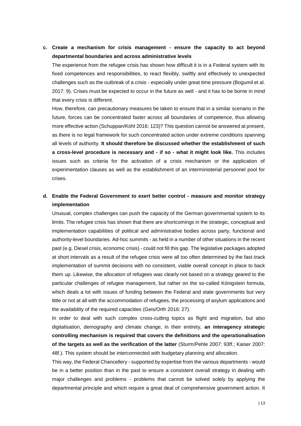### <span id="page-13-0"></span>**c. Create a mechanism for crisis management - ensure the capacity to act beyond departmental boundaries and across administrative levels**

The experience from the refugee crisis has shown how difficult it is in a Federal system with its fixed competences and responsibilities, to react flexibly, swiftly and effectively to unexpected challenges such as the outbreak of a crisis - especially under great time pressure (Bogumil et al. 2017: 9). Crises must be expected to occur in the future as well - and it has to be borne in mind that every crisis is different.

How, therefore, can precautionary measures be taken to ensure that in a similar scenario in the future, forces can be concentrated faster across all boundaries of competence, thus allowing more effective action (Schuppan/Köhl 2016: 123)? This question cannot be answered at present, as there is no legal framework for such concentrated action under extreme conditions spanning all levels of authority. **It should therefore be discussed whether the establishment of such a cross-level procedure is necessary and - if so - what it might look like.** This includes issues such as criteria for the activation of a crisis mechanism or the application of experimentation clauses as well as the establishment of an interministerial personnel pool for crises.

### <span id="page-13-1"></span>**d. Enable the Federal Government to exert better control - measure and monitor strategy implementation**

Unusual, complex challenges can push the capacity of the German governmental system to its limits. The refugee crisis has shown that there are shortcomings in the strategic, conceptual and implementation capabilities of political and administrative bodies across party, functional and authority-level boundaries. Ad-hoc summits - as held in a number of other situations in the recent past (e.g. Diesel crisis, economic crisis) - could not fill this gap. The legislative packages adopted at short intervals as a result of the refugee crisis were all too often determined by the fast-track implementation of summit decisions with no consistent, viable overall concept in place to back them up. Likewise, the allocation of refugees was clearly not based on a strategy geared to the particular challenges of refugee management, but rather on the so-called Königstein formula, which deals a lot with issues of funding between the Federal and state governments but very little or not at all with the accommodation of refugees, the processing of asylum applications and the availability of the required capacities (Geis/Orth 2016: 27).

In order to deal with such complex cross-cutting topics as flight and migration, but also digitalisation, demography and climate change, in their entirety, **an interagency strategic controlling mechanism is required that covers the definitions and the operationalisation of the targets as well as the verification of the latter** (Sturm/Pehle 2007: 93ff.; Kaiser 2007: 48f.). This system should be interconnected with budgetary planning and allocation.

This way, the Federal Chancellery - supported by expertise from the various departments - would be in a better position than in the past to ensure a consistent overall strategy in dealing with major challenges and problems - problems that cannot be solved solely by applying the departmental principle and which require a great deal of comprehensive government action. It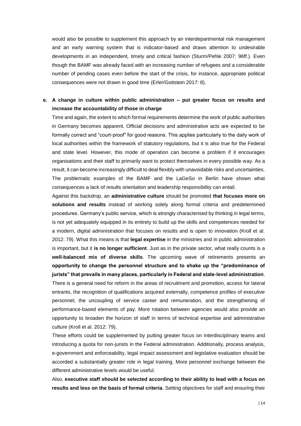would also be possible to supplement this approach by an interdepartmental risk management and an early warning system that is indicator-based and draws attention to undesirable developments in an independent, timely and critical fashion (Sturm/Pehle 2007: 96ff.). Even though the BAMF was already faced with an increasing number of refugees and a considerable number of pending cases even before the start of the crisis, for instance, appropriate political consequences were not drawn in good time (Erler/Gottstein 2017: 8).

#### <span id="page-14-0"></span>**e. A change in culture within public administration – put greater focus on results and increase the accountability of those in charge**

Time and again, the extent to which formal requirements determine the work of public authorities in Germany becomes apparent. Official decisions and administrative acts are expected to be formally correct and "court-proof" for good reasons. This applies particularly to the daily work of local authorities within the framework of statutory regulations, but it is also true for the Federal and state level. However, this mode of operation can become a problem if it encourages organisations and their staff to primarily want to protect themselves in every possible way. As a result, it can become increasingly difficult to deal flexibly with unavoidable risks and uncertainties. The problematic examples of the BAMF and the LaGeSo in Berlin have shown what consequences a lack of results orientation and leadership responsibility can entail.

Against this backdrop, an **administrative culture** should be promoted **that focuses more on solutions and results** instead of working solely along formal criteria and predetermined procedures. Germany's public service, which is strongly characterised by thinking in legal terms, is not yet adequately equipped in its entirety to build up the skills and competences needed for a modern, digital administration that focuses on results and is open to innovation (Kroll et al. 2012: 79). What this means is that **legal expertise** in the ministries and in public administration is important, but it **is no longer sufficient**. Just as in the private sector, what really counts is a **well-balanced mix of diverse skills**. The upcoming wave of retirements presents an **opportunity to change the personnel structure and to shake up the "predominance of jurists" that prevails in many places, particularly in Federal and state-level administration**. There is a general need for reform in the areas of recruitment and promotion, access for lateral entrants, the recognition of qualifications acquired externally, competence profiles of executive personnel, the uncoupling of service career and remuneration, and the strengthening of performance-based elements of pay. More rotation between agencies would also provide an opportunity to broaden the horizon of staff in terms of technical expertise and administrative culture (Kroll et al. 2012: 79).

These efforts could be supplemented by putting greater focus on interdisciplinary teams and introducing a quota for non-jurists in the Federal administration. Additionally, process analysis, e-government and enforceability, legal impact assessment and legislative evaluation should be accorded a substantially greater role in legal training. More personnel exchange between the different administrative levels would be useful.

Also, **executive staff should be selected according to their ability to lead with a focus on results and less on the basis of formal criteria**. Setting objectives for staff and ensuring their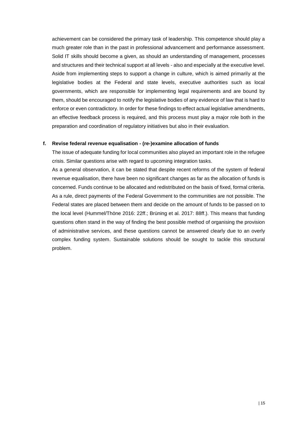achievement can be considered the primary task of leadership. This competence should play a much greater role than in the past in professional advancement and performance assessment. Solid IT skills should become a given, as should an understanding of management, processes and structures and their technical support at all levels - also and especially at the executive level. Aside from implementing steps to support a change in culture, which is aimed primarily at the legislative bodies at the Federal and state levels, executive authorities such as local governments, which are responsible for implementing legal requirements and are bound by them, should be encouraged to notify the legislative bodies of any evidence of law that is hard to enforce or even contradictory. In order for these findings to effect actual legislative amendments, an effective feedback process is required, and this process must play a major role both in the preparation and coordination of regulatory initiatives but also in their evaluation.

#### <span id="page-15-0"></span>**f. Revise federal revenue equalisation - (re-)examine allocation of funds**

The issue of adequate funding for local communities also played an important role in the refugee crisis. Similar questions arise with regard to upcoming integration tasks.

As a general observation, it can be stated that despite recent reforms of the system of federal revenue equalisation, there have been no significant changes as far as the allocation of funds is concerned. Funds continue to be allocated and redistributed on the basis of fixed, formal criteria. As a rule, direct payments of the Federal Government to the communities are not possible. The Federal states are placed between them and decide on the amount of funds to be passed on to the local level (Hummel/Thöne 2016: 22ff.; Brüning et al. 2017: 88ff.). This means that funding questions often stand in the way of finding the best possible method of organising the provision of administrative services, and these questions cannot be answered clearly due to an overly complex funding system. Sustainable solutions should be sought to tackle this structural problem.